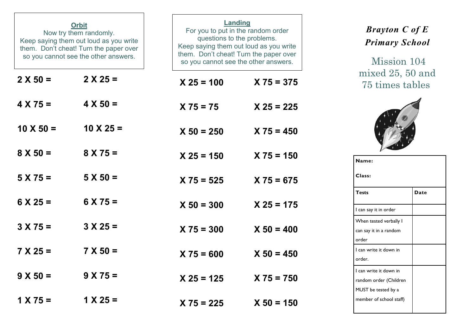| <b>Orbit</b><br>Now try them randomly.<br>Keep saying them out loud as you write<br>them. Don't cheat! Turn the paper over<br>so you cannot see the other answers. |                  | <b>Landing</b><br>For you to put in the random order<br>questions to the problems.<br>Keep saying them out loud as you write<br>them. Don't cheat! Turn the paper over<br>so you cannot see the other answers. |              |  |  |
|--------------------------------------------------------------------------------------------------------------------------------------------------------------------|------------------|----------------------------------------------------------------------------------------------------------------------------------------------------------------------------------------------------------------|--------------|--|--|
| $2 X 50 =$                                                                                                                                                         | $2 X 25 =$       | $X 25 = 100$                                                                                                                                                                                                   | $X 75 = 375$ |  |  |
| $4 X 75 =$                                                                                                                                                         | $4 X 50 =$       | $X 75 = 75$                                                                                                                                                                                                    | $X 25 = 225$ |  |  |
| $10 \times 50 =$                                                                                                                                                   | $10 \times 25 =$ | $X 50 = 250$                                                                                                                                                                                                   | $X 75 = 450$ |  |  |
| $8 X 50 =$                                                                                                                                                         | $8 X 75 =$       | $X 25 = 150$                                                                                                                                                                                                   | $X 75 = 150$ |  |  |
| $5 X 75 =$                                                                                                                                                         | $5 X 50 =$       | $X 75 = 525$                                                                                                                                                                                                   | $X 75 = 675$ |  |  |
| $6 \times 25 =$                                                                                                                                                    | $6 X 75 =$       | $X 50 = 300$                                                                                                                                                                                                   | $X$ 25 = 175 |  |  |
| $3 X 75 =$                                                                                                                                                         | $3 X 25 =$       | $X 75 = 300$                                                                                                                                                                                                   | $X 50 = 400$ |  |  |
| $7 X 25 =$                                                                                                                                                         | $7 X 50 =$       | $X 75 = 600$                                                                                                                                                                                                   | $X 50 = 450$ |  |  |
| $9 X 50 =$                                                                                                                                                         | $9 X 75 =$       | $X 25 = 125$                                                                                                                                                                                                   | $X 75 = 750$ |  |  |
| $1 X 75 =$                                                                                                                                                         | $1 X 25 =$       | $X 75 = 225$                                                                                                                                                                                                   | $X 50 = 150$ |  |  |

## *Brayton C of E Primary School*

 Mission 104 mixed 25, 50 and 75 times tables



| Name:                   |      |  |  |  |  |  |
|-------------------------|------|--|--|--|--|--|
| Class:                  |      |  |  |  |  |  |
| <b>Tests</b>            | Date |  |  |  |  |  |
| l can say it in order   |      |  |  |  |  |  |
| When tested verbally I  |      |  |  |  |  |  |
| can say it in a random  |      |  |  |  |  |  |
| order                   |      |  |  |  |  |  |
| I can write it down in  |      |  |  |  |  |  |
| order.                  |      |  |  |  |  |  |
| I can write it down in  |      |  |  |  |  |  |
| random order (Children  |      |  |  |  |  |  |
| MUST be tested by a     |      |  |  |  |  |  |
| member of school staff) |      |  |  |  |  |  |